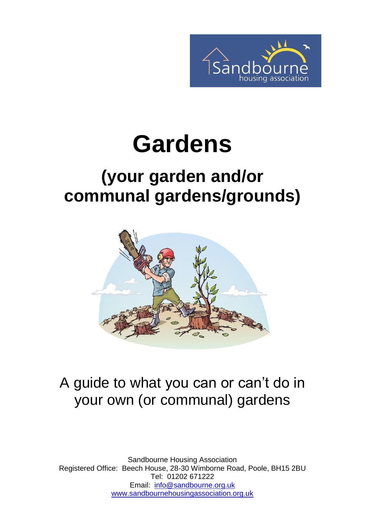

# **Gardens**

### **(your garden and/or communal gardens/grounds)**



#### A guide to what you can or can't do in your own (or communal) gardens

Sandbourne Housing Association Registered Office: Beech House, 28-30 Wimborne Road, Poole, BH15 2BU Tel: 01202 671222 Email: [info@sandbourne.org.uk](mailto:info@sandbourne.org.uk) [www.sandbournehousingassociation.org.uk](http://www.sandbournehousingassociation.org.uk/)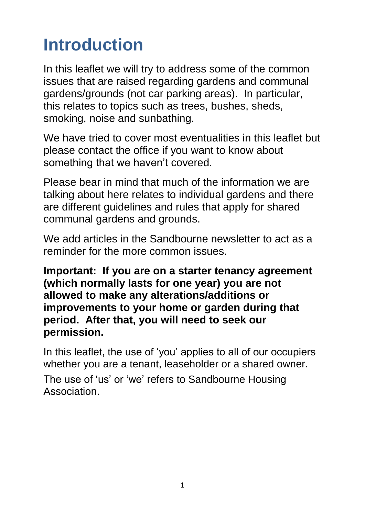### **Introduction**

In this leaflet we will try to address some of the common issues that are raised regarding gardens and communal gardens/grounds (not car parking areas). In particular, this relates to topics such as trees, bushes, sheds, smoking, noise and sunbathing.

We have tried to cover most eventualities in this leaflet but please contact the office if you want to know about something that we haven't covered.

Please bear in mind that much of the information we are talking about here relates to individual gardens and there are different guidelines and rules that apply for shared communal gardens and grounds.

We add articles in the Sandbourne newsletter to act as a reminder for the more common issues.

**Important: If you are on a starter tenancy agreement (which normally lasts for one year) you are not allowed to make any alterations/additions or improvements to your home or garden during that period. After that, you will need to seek our permission.**

In this leaflet, the use of 'you' applies to all of our occupiers whether you are a tenant, leaseholder or a shared owner.

The use of 'us' or 'we' refers to Sandbourne Housing Association.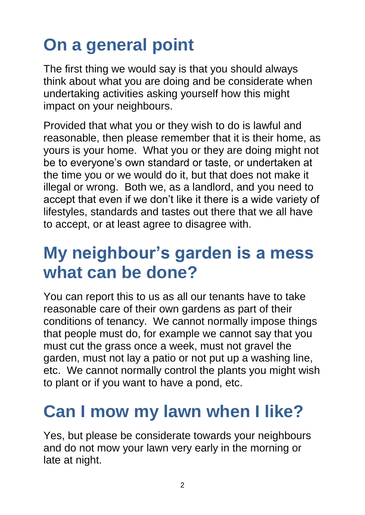# **On a general point**

The first thing we would say is that you should always think about what you are doing and be considerate when undertaking activities asking yourself how this might impact on your neighbours.

Provided that what you or they wish to do is lawful and reasonable, then please remember that it is their home, as yours is your home. What you or they are doing might not be to everyone's own standard or taste, or undertaken at the time you or we would do it, but that does not make it illegal or wrong. Both we, as a landlord, and you need to accept that even if we don't like it there is a wide variety of lifestyles, standards and tastes out there that we all have to accept, or at least agree to disagree with.

#### **My neighbour's garden is a mess what can be done?**

You can report this to us as all our tenants have to take reasonable care of their own gardens as part of their conditions of tenancy. We cannot normally impose things that people must do, for example we cannot say that you must cut the grass once a week, must not gravel the garden, must not lay a patio or not put up a washing line, etc. We cannot normally control the plants you might wish to plant or if you want to have a pond, etc.

### **Can I mow my lawn when I like?**

Yes, but please be considerate towards your neighbours and do not mow your lawn very early in the morning or late at night.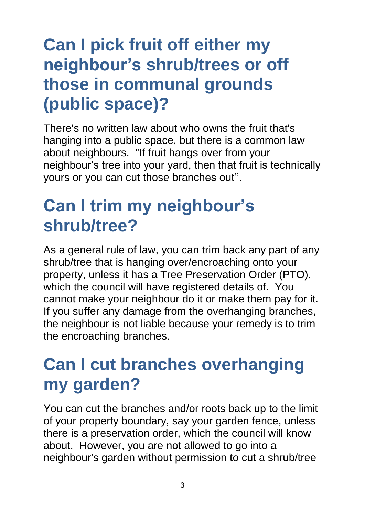### **Can I pick fruit off either my neighbour's shrub/trees or off those in communal grounds (public space)?**

There's no written law about who owns the fruit that's hanging into a public space, but there is a common law about neighbours. "If fruit hangs over from your neighbour's tree into your yard, then that fruit is technically yours or you can cut those branches out''.

### **Can I trim my neighbour's shrub/tree?**

As a general rule of law, you can trim back any part of any shrub/tree that is hanging over/encroaching onto your property, unless it has a Tree Preservation Order (PTO), which the council will have registered details of. You cannot make your neighbour do it or make them pay for it. If you suffer any damage from the overhanging branches, the neighbour is not liable because your remedy is to trim the encroaching branches.

### **Can I cut branches overhanging my garden?**

You can cut the branches and/or roots back up to the limit of your property boundary, say your garden fence, unless there is a preservation order, which the council will know about. However, you are not allowed to go into a neighbour's garden without permission to cut a shrub/tree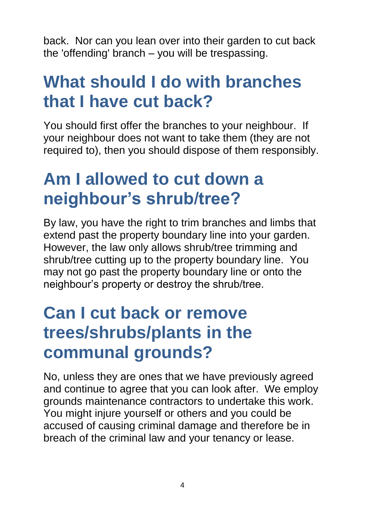back. Nor can you lean over into their garden to cut back the 'offending' branch – you will be trespassing.

#### **What should I do with branches that I have cut back?**

You should first offer the branches to your neighbour. If your neighbour does not want to take them (they are not required to), then you should dispose of them responsibly.

### **Am I allowed to cut down a neighbour's shrub/tree?**

By law, you have the right to trim branches and limbs that extend past the property boundary line into your garden. However, the law only allows shrub/tree trimming and shrub/tree cutting up to the property boundary line. You may not go past the property boundary line or onto the neighbour's property or destroy the shrub/tree.

### **Can I cut back or remove trees/shrubs/plants in the communal grounds?**

No, unless they are ones that we have previously agreed and continue to agree that you can look after. We employ grounds maintenance contractors to undertake this work. You might injure yourself or others and you could be accused of causing criminal damage and therefore be in breach of the criminal law and your tenancy or lease.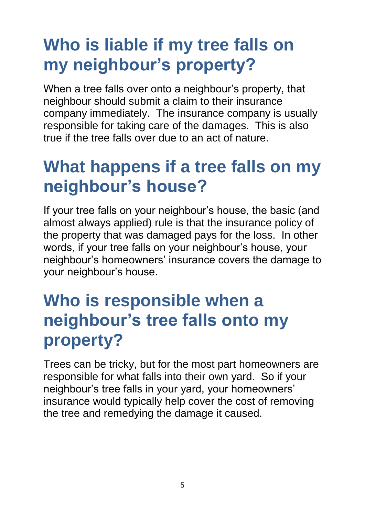### **Who is liable if my tree falls on my neighbour's property?**

When a tree falls over onto a neighbour's property, that neighbour should submit a claim to their insurance company immediately. The insurance company is usually responsible for taking care of the damages. This is also true if the tree falls over due to an act of nature.

#### **What happens if a tree falls on my neighbour's house?**

If your tree falls on your neighbour's house, the basic (and almost always applied) rule is that the insurance policy of the property that was damaged pays for the loss. In other words, if your tree falls on your neighbour's house, your neighbour's homeowners' insurance covers the damage to your neighbour's house.

### **Who is responsible when a neighbour's tree falls onto my property?**

Trees can be tricky, but for the most part homeowners are responsible for what falls into their own yard. So if your neighbour's tree falls in your yard, your homeowners' insurance would typically help cover the cost of removing the tree and remedying the damage it caused.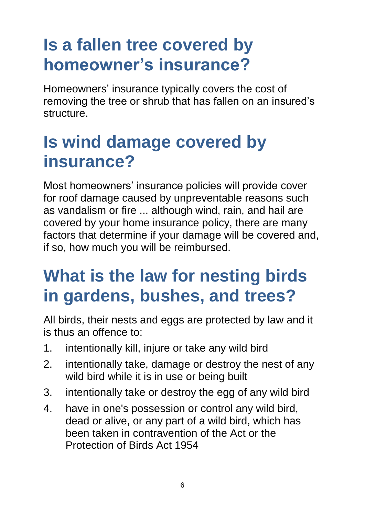### **Is a fallen tree covered by homeowner's insurance?**

Homeowners' insurance typically covers the cost of removing the tree or shrub that has fallen on an insured's structure.

### **Is wind damage covered by insurance?**

Most homeowners' insurance policies will provide cover for roof damage caused by unpreventable reasons such as vandalism or fire ... although wind, rain, and hail are covered by your home insurance policy, there are many factors that determine if your damage will be covered and, if so, how much you will be reimbursed.

### **What is the law for nesting birds in gardens, bushes, and trees?**

All birds, their nests and eggs are protected by law and it is thus an offence to:

- 1. intentionally kill, injure or take any wild bird
- 2. intentionally take, damage or destroy the nest of any wild bird while it is in use or being built
- 3. intentionally take or destroy the egg of any wild bird
- 4. have in one's possession or control any wild bird, dead or alive, or any part of a wild bird, which has been taken in contravention of the Act or the Protection of Birds Act 1954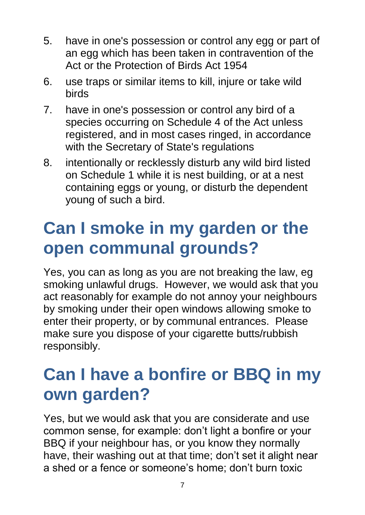- 5. have in one's possession or control any egg or part of an egg which has been taken in contravention of the Act or the Protection of Birds Act 1954
- 6. use traps or similar items to kill, injure or take wild birds
- 7. have in one's possession or control any bird of a species occurring on Schedule 4 of the Act unless registered, and in most cases ringed, in accordance with the Secretary of State's regulations
- 8. intentionally or recklessly disturb any wild bird listed on Schedule 1 while it is nest building, or at a nest containing eggs or young, or disturb the dependent young of such a bird.

### **Can I smoke in my garden or the open communal grounds?**

Yes, you can as long as you are not breaking the law, eg smoking unlawful drugs. However, we would ask that you act reasonably for example do not annoy your neighbours by smoking under their open windows allowing smoke to enter their property, or by communal entrances. Please make sure you dispose of your cigarette butts/rubbish responsibly.

### **Can I have a bonfire or BBQ in my own garden?**

Yes, but we would ask that you are considerate and use common sense, for example: don't light a bonfire or your BBQ if your neighbour has, or you know they normally have, their washing out at that time; don't set it alight near a shed or a fence or someone's home; don't burn toxic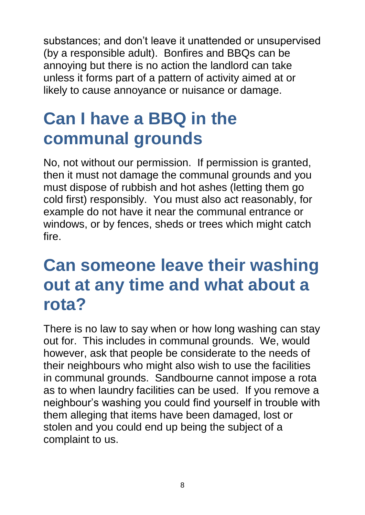substances; and don't leave it unattended or unsupervised (by a responsible adult). Bonfires and BBQs can be annoying but there is no action the landlord can take unless it forms part of a pattern of activity aimed at or likely to cause annoyance or nuisance or damage.

### **Can I have a BBQ in the communal grounds**

No, not without our permission. If permission is granted, then it must not damage the communal grounds and you must dispose of rubbish and hot ashes (letting them go cold first) responsibly. You must also act reasonably, for example do not have it near the communal entrance or windows, or by fences, sheds or trees which might catch fire.

#### **Can someone leave their washing out at any time and what about a rota?**

There is no law to say when or how long washing can stay out for. This includes in communal grounds. We, would however, ask that people be considerate to the needs of their neighbours who might also wish to use the facilities in communal grounds. Sandbourne cannot impose a rota as to when laundry facilities can be used. If you remove a neighbour's washing you could find yourself in trouble with them alleging that items have been damaged, lost or stolen and you could end up being the subject of a complaint to us.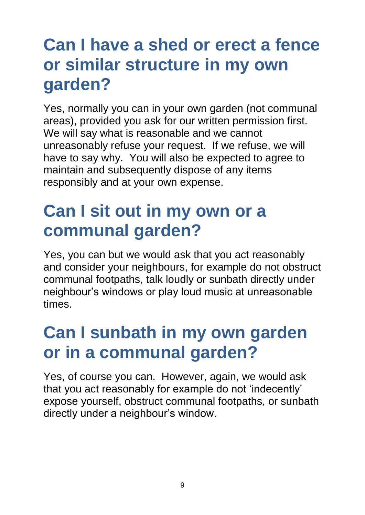### **Can I have a shed or erect a fence or similar structure in my own garden?**

Yes, normally you can in your own garden (not communal areas), provided you ask for our written permission first. We will say what is reasonable and we cannot unreasonably refuse your request. If we refuse, we will have to say why. You will also be expected to agree to maintain and subsequently dispose of any items responsibly and at your own expense.

#### **Can I sit out in my own or a communal garden?**

Yes, you can but we would ask that you act reasonably and consider your neighbours, for example do not obstruct communal footpaths, talk loudly or sunbath directly under neighbour's windows or play loud music at unreasonable times.

### **Can I sunbath in my own garden or in a communal garden?**

Yes, of course you can. However, again, we would ask that you act reasonably for example do not 'indecently' expose yourself, obstruct communal footpaths, or sunbath directly under a neighbour's window.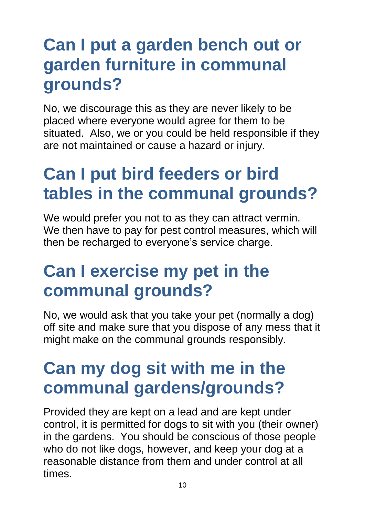### **Can I put a garden bench out or garden furniture in communal grounds?**

No, we discourage this as they are never likely to be placed where everyone would agree for them to be situated. Also, we or you could be held responsible if they are not maintained or cause a hazard or injury.

### **Can I put bird feeders or bird tables in the communal grounds?**

We would prefer you not to as they can attract vermin. We then have to pay for pest control measures, which will then be recharged to everyone's service charge.

### **Can I exercise my pet in the communal grounds?**

No, we would ask that you take your pet (normally a dog) off site and make sure that you dispose of any mess that it might make on the communal grounds responsibly.

### **Can my dog sit with me in the communal gardens/grounds?**

Provided they are kept on a lead and are kept under control, it is permitted for dogs to sit with you (their owner) in the gardens. You should be conscious of those people who do not like dogs, however, and keep your dog at a reasonable distance from them and under control at all times.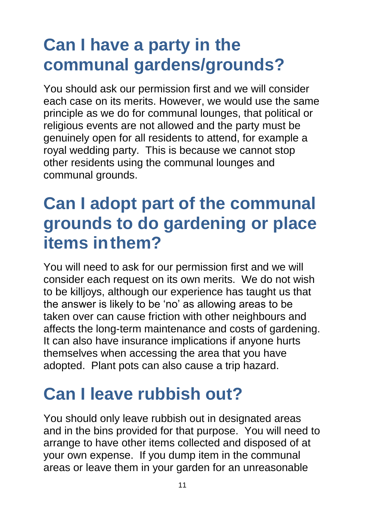### **Can I have a party in the communal gardens/grounds?**

You should ask our permission first and we will consider each case on its merits. However, we would use the same principle as we do for communal lounges, that political or religious events are not allowed and the party must be genuinely open for all residents to attend, for example a royal wedding party. This is because we cannot stop other residents using the communal lounges and communal grounds.

### **Can I adopt part of the communal grounds to do gardening or place items inthem?**

You will need to ask for our permission first and we will consider each request on its own merits. We do not wish to be killjoys, although our experience has taught us that the answer is likely to be 'no' as allowing areas to be taken over can cause friction with other neighbours and affects the long-term maintenance and costs of gardening. It can also have insurance implications if anyone hurts themselves when accessing the area that you have adopted. Plant pots can also cause a trip hazard.

### **Can I leave rubbish out?**

You should only leave rubbish out in designated areas and in the bins provided for that purpose. You will need to arrange to have other items collected and disposed of at your own expense. If you dump item in the communal areas or leave them in your garden for an unreasonable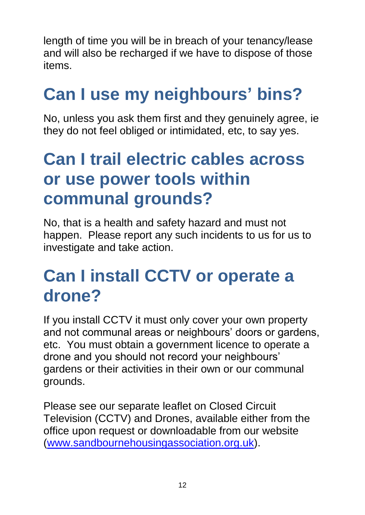length of time you will be in breach of your tenancy/lease and will also be recharged if we have to dispose of those items.

# **Can I use my neighbours' bins?**

No, unless you ask them first and they genuinely agree, ie they do not feel obliged or intimidated, etc, to say yes.

### **Can I trail electric cables across or use power tools within communal grounds?**

No, that is a health and safety hazard and must not happen. Please report any such incidents to us for us to investigate and take action.

#### **Can I install CCTV or operate a drone?**

If you install CCTV it must only cover your own property and not communal areas or neighbours' doors or gardens, etc. You must obtain a government licence to operate a drone and you should not record your neighbours' gardens or their activities in their own or our communal grounds.

Please see our separate leaflet on Closed Circuit Television (CCTV) and Drones, available either from the office upon request or downloadable from our website [\(www.sandbournehousingassociation.org.uk\)](http://www.sandbournehousingassociation.org.uk/).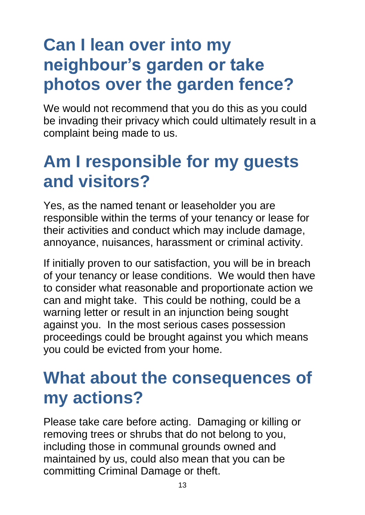### **Can I lean over into my neighbour's garden or take photos over the garden fence?**

We would not recommend that you do this as you could be invading their privacy which could ultimately result in a complaint being made to us.

### **Am I responsible for my guests and visitors?**

Yes, as the named tenant or leaseholder you are responsible within the terms of your tenancy or lease for their activities and conduct which may include damage, annoyance, nuisances, harassment or criminal activity.

If initially proven to our satisfaction, you will be in breach of your tenancy or lease conditions. We would then have to consider what reasonable and proportionate action we can and might take. This could be nothing, could be a warning letter or result in an injunction being sought against you. In the most serious cases possession proceedings could be brought against you which means you could be evicted from your home.

#### **What about the consequences of my actions?**

Please take care before acting. Damaging or killing or removing trees or shrubs that do not belong to you, including those in communal grounds owned and maintained by us, could also mean that you can be committing Criminal Damage or theft.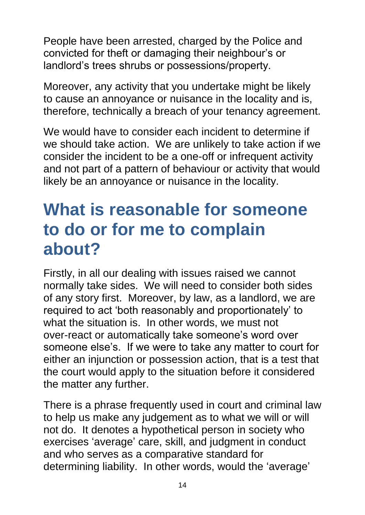People have been arrested, charged by the Police and convicted for theft or damaging their neighbour's or landlord's trees shrubs or possessions/property.

Moreover, any activity that you undertake might be likely to cause an annoyance or nuisance in the locality and is, therefore, technically a breach of your tenancy agreement.

We would have to consider each incident to determine if we should take action. We are unlikely to take action if we consider the incident to be a one-off or infrequent activity and not part of a pattern of behaviour or activity that would likely be an annoyance or nuisance in the locality.

#### **What is reasonable for someone to do or for me to complain about?**

Firstly, in all our dealing with issues raised we cannot normally take sides. We will need to consider both sides of any story first. Moreover, by law, as a landlord, we are required to act 'both reasonably and proportionately' to what the situation is. In other words, we must not over-react or automatically take someone's word over someone else's. If we were to take any matter to court for either an injunction or possession action, that is a test that the court would apply to the situation before it considered the matter any further.

There is a phrase frequently used in court and criminal law to help us make any judgement as to what we will or will not do. It denotes a hypothetical person in society who exercises 'average' care, skill, and judgment in conduct and who serves as a comparative standard for determining liability. In other words, would the 'average'